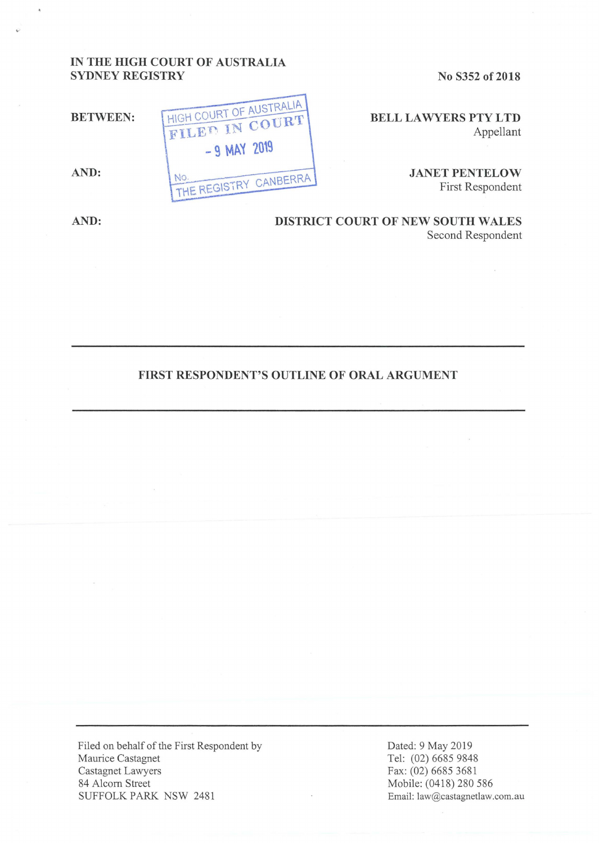## **IN THE HIGH COURT OF AUSTRALIA SYDNEY REGISTRY**

**No S352 of 2018** 

**BELL LA WYERS PTY LTD**  Appellant

> **JANET PENTELOW**  First Respondent

**BETWEEN:**  AUSTRALIA HIGH COURT OF AUSTRALIA FILED IN COURT  $-9$  MAY 2019 **AND:**  NO. THE REGISTRY CANBERRA

**AND: DISTRICT COURT OF NEW SOUTH WALES**  Second Respondent

## **FIRST RESPONDENT'S OUTLINE OF ORAL ARGUMENT**

Filed on behalf of the First Respondent by Maurice Castagnet Castagnet Lawyers 84 Alcorn Street SUFFOLK PARK NSW 2481

Dated: 9 May 2019 Tel: (02) 6685 9848 Fax: (02) 6685 3681 Mobile: (0418) 280 586 Email: law@castagnetlaw.com.au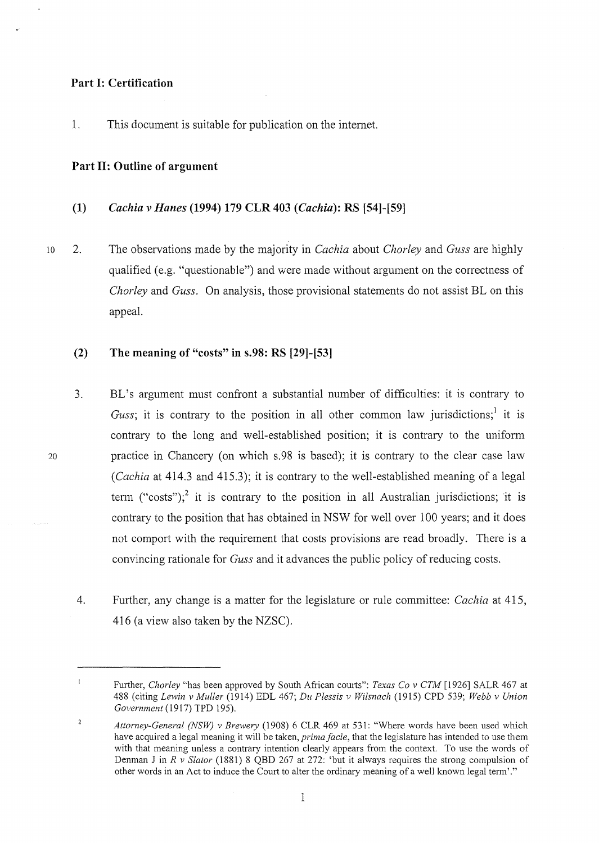### **Part I: Certification**

1. This document is suitable for publication on the internet.

### **Part II: Outline of argument**

- **(1)** *Cachia v Hanes* **(1994) 179 CLR 403** *(Cachia):* **RS [54]-[59]**
- 10 2. The observations made by the majority in *Cachia* about *Chorley* and *Guss* are highly qualified (e.g. "questionable") and were made without argument on the correctness of *Chorley* and *Guss.* On analysis, those provisional statements do not assist BL on this appeal.

## **(2) The meaning of "costs" in s.98: RS [29]-[53]**

- 3. BL's argument must confront a substantial number of difficulties: it is contrary to *Guss*; it is contrary to the position in all other common law jurisdictions;<sup>1</sup> it is contrary to the long and well-established position; it is contrary to the uniform practice in Chancery (on which s.98 is based); it is contrary to the clear case law *(Cachia* at 414.3 and 415.3); it is contrary to the well-established meaning of a legal term ("costs");<sup>2</sup> it is contrary to the position in all Australian jurisdictions; it is contrary to the position that has obtained in NSW for well over 100 years; and it does not comport with the requirement that costs provisions are read broadly. There is a convincing rationale for *Guss* and it advances the public policy of reducing costs.
- 4. Further, any change is a matter for the legislature or rule committee: *Cachia* at 415, 416 (a view also taken by the NZSC).

 $\mathbf i$ Further, *Chorley* "has been approved by South African courts": *Texas Co v CTM* [ 1926] SALR 467 at 488 (citing *Lewin v Muller* (1914) EDL 467; *Du Plessis v Wilsnach* (1915) CPD 539; *Webb v Union Government* (1917) TPD 195).

 $\overline{2}$ Attorney-General (NSW) v Brewery (1908) 6 CLR 469 at 531: "Where words have been used which have acquired a legal meaning it will be taken, *prima facie*, that the legislature has intended to use them with that meaning unless a contrary intention clearly appears from the context. To use the words of Denman Jin *R v Stator* (1881) 8 QBD 267 at 272: 'but it always requires the strong compulsion of other words in an Act to induce the Court to alter the ordinary meaning of a well known legal term'."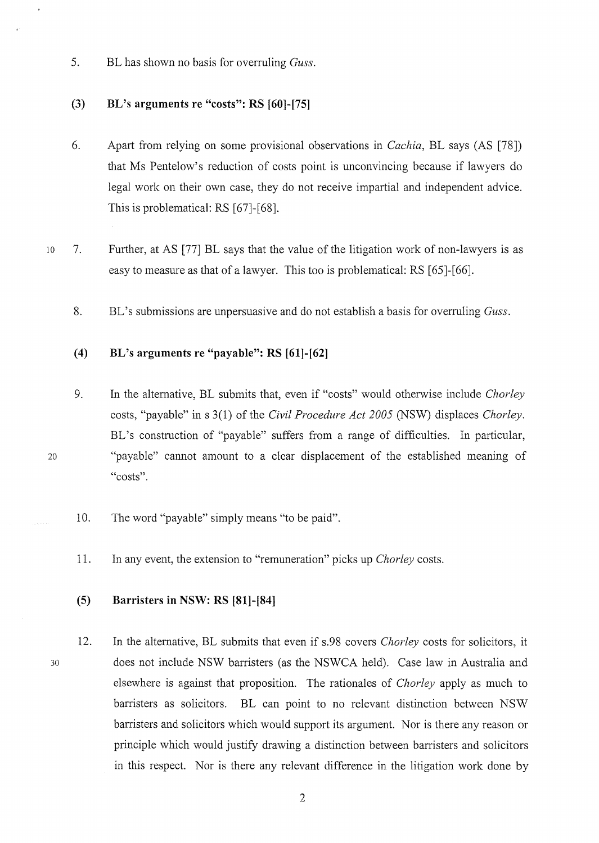5. BL has shown no basis for overruling *Guss.* 

## **(3) BL's arguments re "costs": RS [60]-[75]**

- 6. Apart from relying on some provisional observations in *Cachia,* BL says (AS [78]) that Ms Pentelow's reduction of costs point is unconvincing because if lawyers do legal work on their own case, they do not receive impartial and independent advice. This is problematical: RS [67]-[68].
- 10 7. Further, at AS [77] BL says that the value of the litigation work of non-lawyers is as easy to measure as that of a lawyer. This too is problematical: RS [65]-[66].
	- 8. BL's submissions are unpersuasive and do not establish a basis for overruling *Guss.*

# **(4) BL's arguments re "payable": RS [61]-[62]**

- 9. In the alternative, BL submits that, even if "costs" would otherwise include *Chorley*  costs, "payable" in s 3(1) of the *Civil Procedure Act 2005* (NSW) displaces *Chorley.*  BL's construction of "payable" suffers from a range of difficulties. In particular, "payable" cannot amount to a clear displacement of the established meaning of "costs".
- 10. The word "payable" simply means "to be paid".
- 11. In any event, the extension to "remuneration" picks up *Chorley* costs.

### **(5) Barristers in NSW: RS [81]-[84]**

30

20

12. In the alternative, BL submits that even if s.98 covers *Chorley* costs for solicitors, it does not include NSW barristers (as the NSWCA held). Case law in Australia and elsewhere is against that proposition. The rationales of *Chorley* apply as much to barristers as solicitors. BL can point to no relevant distinction between NSW barristers and solicitors which would support its argument. Nor is there any reason or principle which would justify drawing a distinction between barristers and solicitors in this respect. Nor is there any relevant difference in the litigation work done by